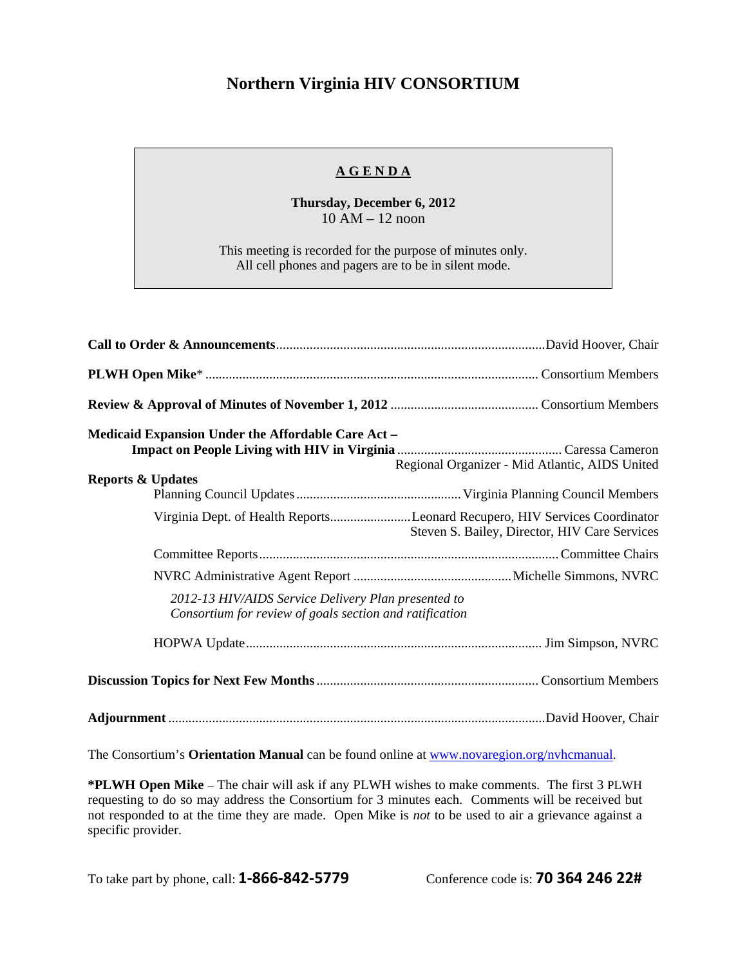## **Northern Virginia HIV CONSORTIUM**

## **A G E N D A**

**Thursday, December 6, 2012**  10 AM – 12 noon

This meeting is recorded for the purpose of minutes only. All cell phones and pagers are to be in silent mode.

| <b>Medicaid Expansion Under the Affordable Care Act -</b>                                                      | Regional Organizer - Mid Atlantic, AIDS United                                                                              |  |  |  |
|----------------------------------------------------------------------------------------------------------------|-----------------------------------------------------------------------------------------------------------------------------|--|--|--|
| <b>Reports &amp; Updates</b>                                                                                   |                                                                                                                             |  |  |  |
|                                                                                                                | Virginia Dept. of Health ReportsLeonard Recupero, HIV Services Coordinator<br>Steven S. Bailey, Director, HIV Care Services |  |  |  |
|                                                                                                                |                                                                                                                             |  |  |  |
|                                                                                                                |                                                                                                                             |  |  |  |
| 2012-13 HIV/AIDS Service Delivery Plan presented to<br>Consortium for review of goals section and ratification |                                                                                                                             |  |  |  |
|                                                                                                                |                                                                                                                             |  |  |  |
|                                                                                                                |                                                                                                                             |  |  |  |
|                                                                                                                |                                                                                                                             |  |  |  |

The Consortium's **Orientation Manual** can be found online at www.novaregion.org/nvhcmanual.

**\*PLWH Open Mike** – The chair will ask if any PLWH wishes to make comments. The first 3 PLWH requesting to do so may address the Consortium for 3 minutes each. Comments will be received but not responded to at the time they are made. Open Mike is *not* to be used to air a grievance against a specific provider.

To take part by phone, call: **1‐866‐842‐5779** Conference code is: **70 364 246 22#**